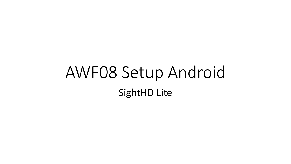## AWF08 Setup Android SightHD Lite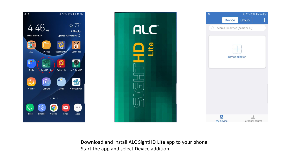



Download and install ALC SightHD Lite app to your phone. Start the app and select Device addition.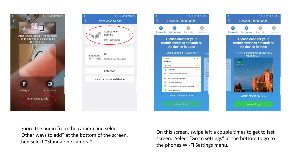





 $\overline{A}$ 

Complete

On this screen, swipe left a couple times to get to last screen. Select "Go to settings" at the bottom to go to the phones Wi-Fi Settings menu.

Ignore the audio from the camera and select "Other ways to add" at the bottom of the screen, then select "Standalone camera"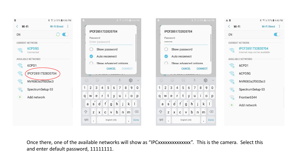

Once there, one of the available networks will show as "IPCxxxxxxxxxxxxxx". This is the camera. Select this and enter default password, 11111111.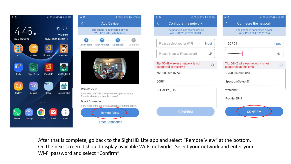



**Direct Connection** 



After that is complete, go back to the SightHD Lite app and select "Remote View" at the bottom. On the next screen it should display available Wi-Fi networks. Select your network and enter your Wi-Fi password and select "Confirm"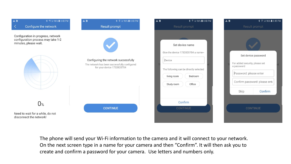| AB<br>K.                                                                                          | <b><i>\</i></b> <del></del> <b>1</b> 4:48 PM<br>Configure the network | AB<br><b><i>\</i></b> <u></u> <u></u> <b>3</b> × 196% <b>4:48 PM</b><br><b>Result prompt</b>                       | AB <sub>1</sub> | <b>*</b> <u>₹ 34</u> 96% <b>4:48 PM</b><br>Result prompt                                                                                                    | AB | Result prompt                                                                                                                                     | <b>*</b> ₹ 24 96% <b>4:49 PM</b> |  |
|---------------------------------------------------------------------------------------------------|-----------------------------------------------------------------------|--------------------------------------------------------------------------------------------------------------------|-----------------|-------------------------------------------------------------------------------------------------------------------------------------------------------------|----|---------------------------------------------------------------------------------------------------------------------------------------------------|----------------------------------|--|
| Configuration in progress, network<br>configuration process may take 1-2<br>minutes, please wait. |                                                                       | Configuring the network successfully<br>The network has been successfully configured<br>for your device 1732820704 |                 | Set device name<br>Give the device 1732820704 a name~<br>Device<br>The following can be directly selected<br>Bedroom<br>living room<br>Office<br>Study room |    | Set device password<br>For added security, please set<br>a password<br>Password: please enter<br>Confirm password: please ente<br>Skip<br>Confirm |                                  |  |
|                                                                                                   | $0^{\circ}$                                                           | <b>CONTINUE</b>                                                                                                    |                 | Confirm<br><b>CONTINUE</b>                                                                                                                                  |    | <b>CONTINUE</b>                                                                                                                                   |                                  |  |
|                                                                                                   | Need to wait for a while, do not<br>disconnect the network!           |                                                                                                                    |                 |                                                                                                                                                             |    |                                                                                                                                                   |                                  |  |

The phone will send your Wi-Fi information to the camera and it will connect to your network. On the next screen type in a name for your camera and then "Confirm". It will then ask you to create and confirm a password for your camera. Use letters and numbers only.